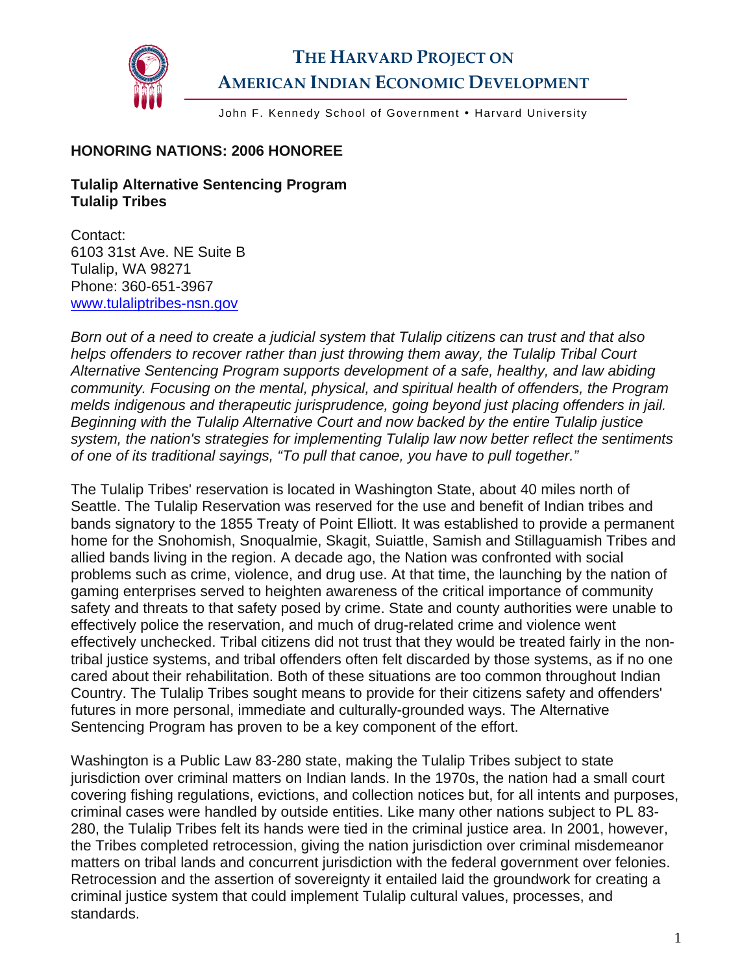

## **THE HARVARD PROJECT ON AMERICAN INDIAN ECONOMIC DEVELOPMENT**

John F. Kennedy School of Government . Harvard University

## **HONORING NATIONS: 2006 HONOREE**

## **Tulalip Alternative Sentencing Program Tulalip Tribes**

Contact: 6103 31st Ave. NE Suite B Tulalip, WA 98271 Phone: 360-651-3967 [www.tulaliptribes-nsn.gov](http://www.tulaliptribes-nsn.gov/) 

*Born out of a need to create a judicial system that Tulalip citizens can trust and that also helps offenders to recover rather than just throwing them away, the Tulalip Tribal Court Alternative Sentencing Program supports development of a safe, healthy, and law abiding community. Focusing on the mental, physical, and spiritual health of offenders, the Program melds indigenous and therapeutic jurisprudence, going beyond just placing offenders in jail. Beginning with the Tulalip Alternative Court and now backed by the entire Tulalip justice system, the nation's strategies for implementing Tulalip law now better reflect the sentiments of one of its traditional sayings, "To pull that canoe, you have to pull together."* 

The Tulalip Tribes' reservation is located in Washington State, about 40 miles north of Seattle. The Tulalip Reservation was reserved for the use and benefit of Indian tribes and bands signatory to the 1855 Treaty of Point Elliott. It was established to provide a permanent home for the Snohomish, Snoqualmie, Skagit, Suiattle, Samish and Stillaguamish Tribes and allied bands living in the region. A decade ago, the Nation was confronted with social problems such as crime, violence, and drug use. At that time, the launching by the nation of gaming enterprises served to heighten awareness of the critical importance of community safety and threats to that safety posed by crime. State and county authorities were unable to effectively police the reservation, and much of drug-related crime and violence went effectively unchecked. Tribal citizens did not trust that they would be treated fairly in the nontribal justice systems, and tribal offenders often felt discarded by those systems, as if no one cared about their rehabilitation. Both of these situations are too common throughout Indian Country. The Tulalip Tribes sought means to provide for their citizens safety and offenders' futures in more personal, immediate and culturally-grounded ways. The Alternative Sentencing Program has proven to be a key component of the effort.

Washington is a Public Law 83-280 state, making the Tulalip Tribes subject to state jurisdiction over criminal matters on Indian lands. In the 1970s, the nation had a small court covering fishing regulations, evictions, and collection notices but, for all intents and purposes, criminal cases were handled by outside entities. Like many other nations subject to PL 83- 280, the Tulalip Tribes felt its hands were tied in the criminal justice area. In 2001, however, the Tribes completed retrocession, giving the nation jurisdiction over criminal misdemeanor matters on tribal lands and concurrent jurisdiction with the federal government over felonies. Retrocession and the assertion of sovereignty it entailed laid the groundwork for creating a criminal justice system that could implement Tulalip cultural values, processes, and standards.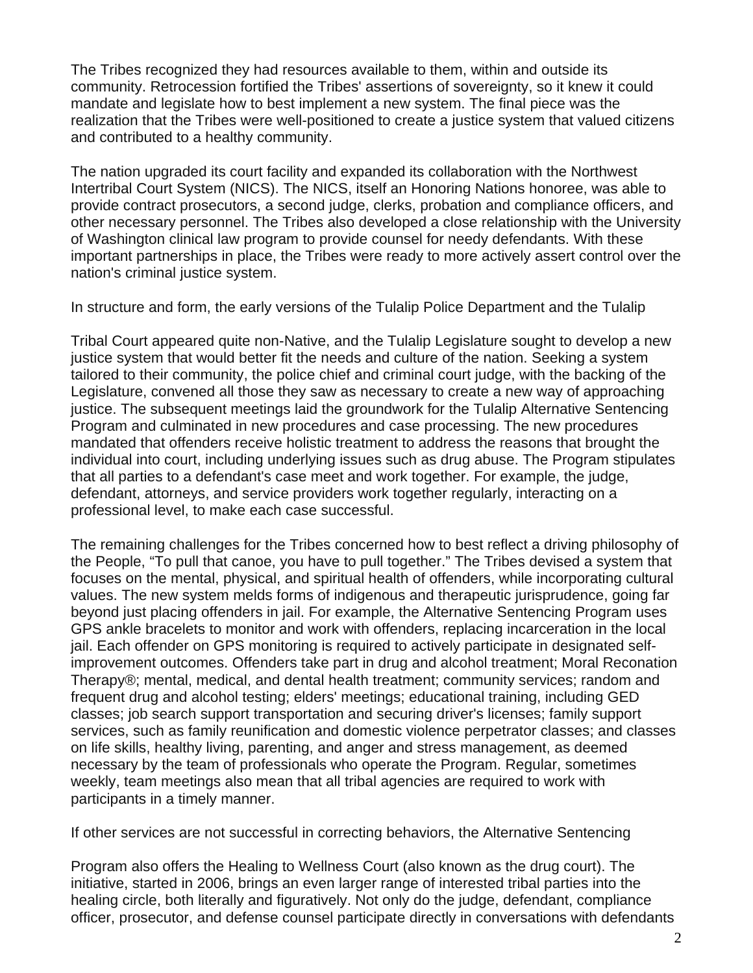The Tribes recognized they had resources available to them, within and outside its community. Retrocession fortified the Tribes' assertions of sovereignty, so it knew it could mandate and legislate how to best implement a new system. The final piece was the realization that the Tribes were well-positioned to create a justice system that valued citizens and contributed to a healthy community.

The nation upgraded its court facility and expanded its collaboration with the Northwest Intertribal Court System (NICS). The NICS, itself an Honoring Nations honoree, was able to provide contract prosecutors, a second judge, clerks, probation and compliance officers, and other necessary personnel. The Tribes also developed a close relationship with the University of Washington clinical law program to provide counsel for needy defendants. With these important partnerships in place, the Tribes were ready to more actively assert control over the nation's criminal justice system.

In structure and form, the early versions of the Tulalip Police Department and the Tulalip

Tribal Court appeared quite non-Native, and the Tulalip Legislature sought to develop a new justice system that would better fit the needs and culture of the nation. Seeking a system tailored to their community, the police chief and criminal court judge, with the backing of the Legislature, convened all those they saw as necessary to create a new way of approaching justice. The subsequent meetings laid the groundwork for the Tulalip Alternative Sentencing Program and culminated in new procedures and case processing. The new procedures mandated that offenders receive holistic treatment to address the reasons that brought the individual into court, including underlying issues such as drug abuse. The Program stipulates that all parties to a defendant's case meet and work together. For example, the judge, defendant, attorneys, and service providers work together regularly, interacting on a professional level, to make each case successful.

The remaining challenges for the Tribes concerned how to best reflect a driving philosophy of the People, "To pull that canoe, you have to pull together." The Tribes devised a system that focuses on the mental, physical, and spiritual health of offenders, while incorporating cultural values. The new system melds forms of indigenous and therapeutic jurisprudence, going far beyond just placing offenders in jail. For example, the Alternative Sentencing Program uses GPS ankle bracelets to monitor and work with offenders, replacing incarceration in the local jail. Each offender on GPS monitoring is required to actively participate in designated selfimprovement outcomes. Offenders take part in drug and alcohol treatment; Moral Reconation Therapy®; mental, medical, and dental health treatment; community services; random and frequent drug and alcohol testing; elders' meetings; educational training, including GED classes; job search support transportation and securing driver's licenses; family support services, such as family reunification and domestic violence perpetrator classes; and classes on life skills, healthy living, parenting, and anger and stress management, as deemed necessary by the team of professionals who operate the Program. Regular, sometimes weekly, team meetings also mean that all tribal agencies are required to work with participants in a timely manner.

If other services are not successful in correcting behaviors, the Alternative Sentencing

Program also offers the Healing to Wellness Court (also known as the drug court). The initiative, started in 2006, brings an even larger range of interested tribal parties into the healing circle, both literally and figuratively. Not only do the judge, defendant, compliance officer, prosecutor, and defense counsel participate directly in conversations with defendants